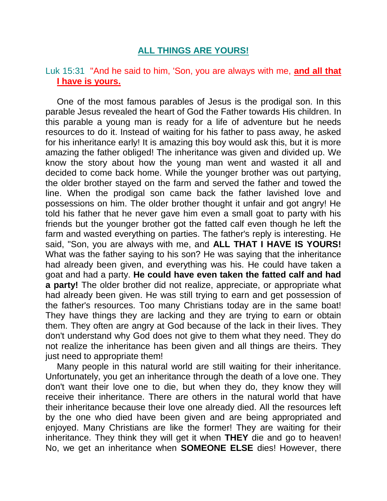# **ALL THINGS ARE YOURS!**

# Luk 15:31 "And he said to him, 'Son, you are always with me, **and all that I have is yours.**

One of the most famous parables of Jesus is the prodigal son. In this parable Jesus revealed the heart of God the Father towards His children. In this parable a young man is ready for a life of adventure but he needs resources to do it. Instead of waiting for his father to pass away, he asked for his inheritance early! It is amazing this boy would ask this, but it is more amazing the father obliged! The inheritance was given and divided up. We know the story about how the young man went and wasted it all and decided to come back home. While the younger brother was out partying, the older brother stayed on the farm and served the father and towed the line. When the prodigal son came back the father lavished love and possessions on him. The older brother thought it unfair and got angry! He told his father that he never gave him even a small goat to party with his friends but the younger brother got the fatted calf even though he left the farm and wasted everything on parties. The father's reply is interesting. He said, "Son, you are always with me, and **ALL THAT I HAVE IS YOURS!**  What was the father saying to his son? He was saying that the inheritance had already been given, and everything was his. He could have taken a goat and had a party. **He could have even taken the fatted calf and had a party!** The older brother did not realize, appreciate, or appropriate what had already been given. He was still trying to earn and get possession of the father's resources. Too many Christians today are in the same boat! They have things they are lacking and they are trying to earn or obtain them. They often are angry at God because of the lack in their lives. They don't understand why God does not give to them what they need. They do not realize the inheritance has been given and all things are theirs. They just need to appropriate them!

Many people in this natural world are still waiting for their inheritance. Unfortunately, you get an inheritance through the death of a love one. They don't want their love one to die, but when they do, they know they will receive their inheritance. There are others in the natural world that have their inheritance because their love one already died. All the resources left by the one who died have been given and are being appropriated and enjoyed. Many Christians are like the former! They are waiting for their inheritance. They think they will get it when **THEY** die and go to heaven! No, we get an inheritance when **SOMEONE ELSE** dies! However, there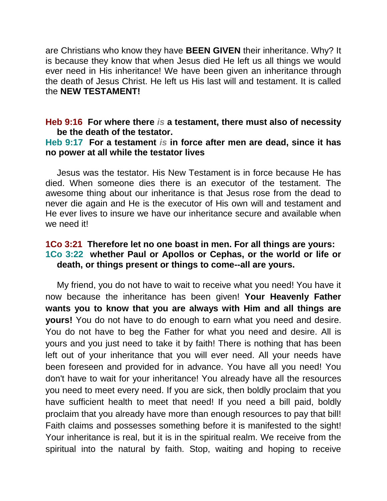are Christians who know they have **BEEN GIVEN** their inheritance. Why? It is because they know that when Jesus died He left us all things we would ever need in His inheritance! We have been given an inheritance through the death of Jesus Christ. He left us His last will and testament. It is called the **NEW TESTAMENT!**

### **Heb 9:16 For where there** *is* **a testament, there must also of necessity be the death of the testator.**

### **Heb 9:17 For a testament** *is* **in force after men are dead, since it has no power at all while the testator lives**

Jesus was the testator. His New Testament is in force because He has died. When someone dies there is an executor of the testament. The awesome thing about our inheritance is that Jesus rose from the dead to never die again and He is the executor of His own will and testament and He ever lives to insure we have our inheritance secure and available when we need it!

# **1Co 3:21 Therefore let no one boast in men. For all things are yours: 1Co 3:22 whether Paul or Apollos or Cephas, or the world or life or death, or things present or things to come--all are yours.**

My friend, you do not have to wait to receive what you need! You have it now because the inheritance has been given! **Your Heavenly Father wants you to know that you are always with Him and all things are yours!** You do not have to do enough to earn what you need and desire. You do not have to beg the Father for what you need and desire. All is yours and you just need to take it by faith! There is nothing that has been left out of your inheritance that you will ever need. All your needs have been foreseen and provided for in advance. You have all you need! You don't have to wait for your inheritance! You already have all the resources you need to meet every need. If you are sick, then boldly proclaim that you have sufficient health to meet that need! If you need a bill paid, boldly proclaim that you already have more than enough resources to pay that bill! Faith claims and possesses something before it is manifested to the sight! Your inheritance is real, but it is in the spiritual realm. We receive from the spiritual into the natural by faith. Stop, waiting and hoping to receive